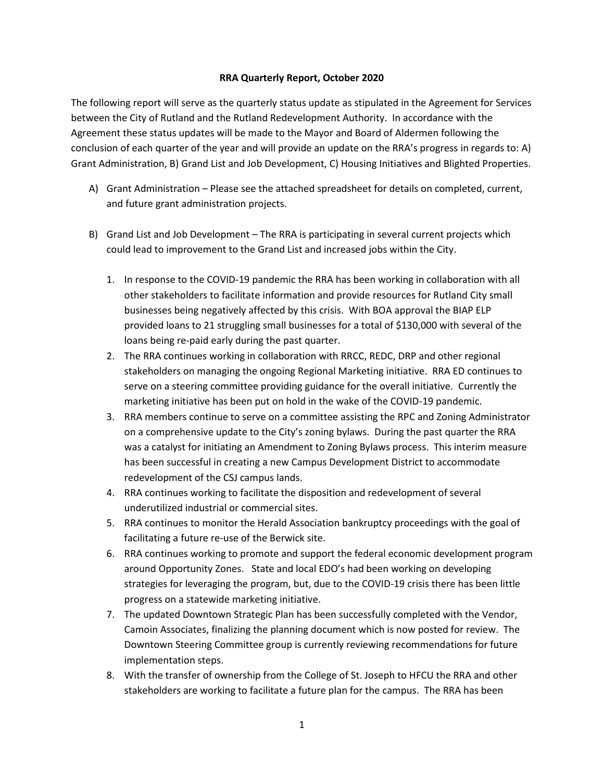## **RRA Quarterly Report, October 2020**

The following report will serve as the quarterly status update as stipulated in the Agreement for Services between the City of Rutland and the Rutland Redevelopment Authority. In accordance with the Agreement these status updates will be made to the Mayor and Board of Aldermen following the conclusion of each quarter of the year and will provide an update on the RRA's progress in regards to: A) Grant Administration, B) Grand List and Job Development, C) Housing Initiatives and Blighted Properties.

- A) Grant Administration Please see the attached spreadsheet for details on completed, current, and future grant administration projects.
- B) Grand List and Job Development The RRA is participating in several current projects which could lead to improvement to the Grand List and increased jobs within the City.
	- 1. In response to the COVID-19 pandemic the RRA has been working in collaboration with all other stakeholders to facilitate information and provide resources for Rutland City small businesses being negatively affected by this crisis. With BOA approval the BIAP ELP provided loans to 21 struggling small businesses for a total of \$130,000 with several of the loans being re-paid early during the past quarter.
	- 2. The RRA continues working in collaboration with RRCC, REDC, DRP and other regional stakeholders on managing the ongoing Regional Marketing initiative. RRA ED continues to serve on a steering committee providing guidance for the overall initiative. Currently the marketing initiative has been put on hold in the wake of the COVID-19 pandemic.
	- 3. RRA members continue to serve on a committee assisting the RPC and Zoning Administrator on a comprehensive update to the City's zoning bylaws. During the past quarter the RRA was a catalyst for initiating an Amendment to Zoning Bylaws process. This interim measure has been successful in creating a new Campus Development District to accommodate redevelopment of the CSJ campus lands.
	- 4. RRA continues working to facilitate the disposition and redevelopment of several underutilized industrial or commercial sites.
	- 5. RRA continues to monitor the Herald Association bankruptcy proceedings with the goal of facilitating a future re-use of the Berwick site.
	- 6. RRA continues working to promote and support the federal economic development program around Opportunity Zones. State and local EDO's had been working on developing strategies for leveraging the program, but, due to the COVID-19 crisis there has been little progress on a statewide marketing initiative.
	- 7. The updated Downtown Strategic Plan has been successfully completed with the Vendor, Camoin Associates, finalizing the planning document which is now posted for review. The Downtown Steering Committee group is currently reviewing recommendations for future implementation steps.
	- 8. With the transfer of ownership from the College of St. Joseph to HFCU the RRA and other stakeholders are working to facilitate a future plan for the campus. The RRA has been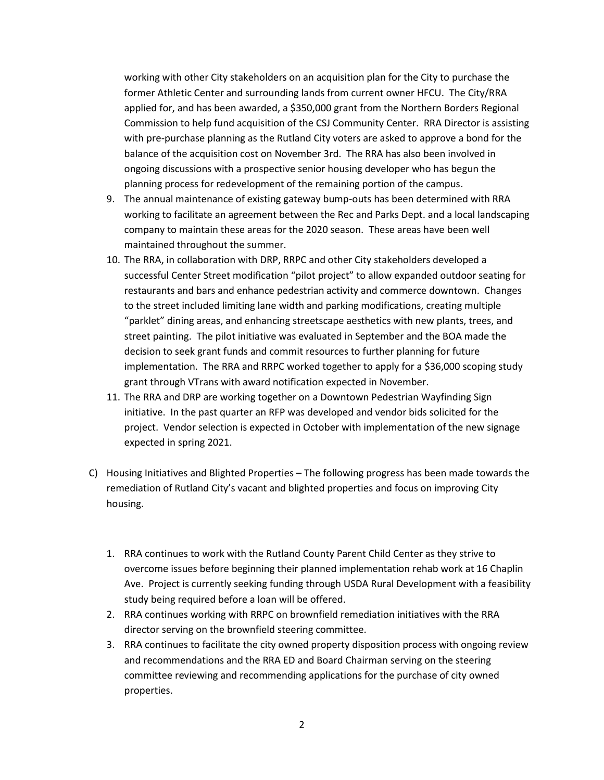working with other City stakeholders on an acquisition plan for the City to purchase the former Athletic Center and surrounding lands from current owner HFCU. The City/RRA applied for, and has been awarded, a \$350,000 grant from the Northern Borders Regional Commission to help fund acquisition of the CSJ Community Center. RRA Director is assisting with pre-purchase planning as the Rutland City voters are asked to approve a bond for the balance of the acquisition cost on November 3rd. The RRA has also been involved in ongoing discussions with a prospective senior housing developer who has begun the planning process for redevelopment of the remaining portion of the campus.

- 9. The annual maintenance of existing gateway bump-outs has been determined with RRA working to facilitate an agreement between the Rec and Parks Dept. and a local landscaping company to maintain these areas for the 2020 season. These areas have been well maintained throughout the summer.
- 10. The RRA, in collaboration with DRP, RRPC and other City stakeholders developed a successful Center Street modification "pilot project" to allow expanded outdoor seating for restaurants and bars and enhance pedestrian activity and commerce downtown. Changes to the street included limiting lane width and parking modifications, creating multiple "parklet" dining areas, and enhancing streetscape aesthetics with new plants, trees, and street painting. The pilot initiative was evaluated in September and the BOA made the decision to seek grant funds and commit resources to further planning for future implementation. The RRA and RRPC worked together to apply for a \$36,000 scoping study grant through VTrans with award notification expected in November.
- 11. The RRA and DRP are working together on a Downtown Pedestrian Wayfinding Sign initiative. In the past quarter an RFP was developed and vendor bids solicited for the project. Vendor selection is expected in October with implementation of the new signage expected in spring 2021.
- C) Housing Initiatives and Blighted Properties The following progress has been made towards the remediation of Rutland City's vacant and blighted properties and focus on improving City housing.
	- 1. RRA continues to work with the Rutland County Parent Child Center as they strive to overcome issues before beginning their planned implementation rehab work at 16 Chaplin Ave. Project is currently seeking funding through USDA Rural Development with a feasibility study being required before a loan will be offered.
	- 2. RRA continues working with RRPC on brownfield remediation initiatives with the RRA director serving on the brownfield steering committee.
	- 3. RRA continues to facilitate the city owned property disposition process with ongoing review and recommendations and the RRA ED and Board Chairman serving on the steering committee reviewing and recommending applications for the purchase of city owned properties.